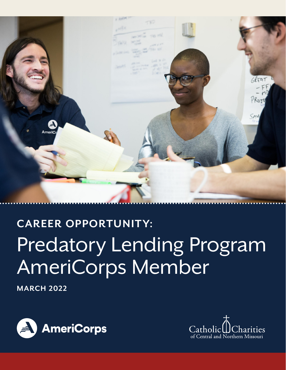

# **CAREER OPPORTUNITY:** Predatory Lending Program AmeriCorps Member

**MARCH 2022**



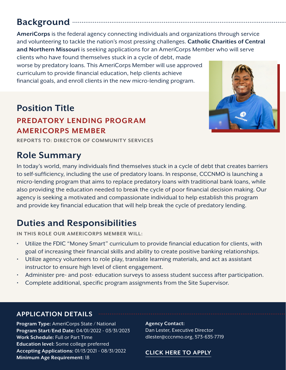# **Background**

**AmeriCorps** is the federal agency connecting individuals and organizations through service and volunteering to tackle the nation's most pressing challenges. **Catholic Charities of Central and Northern Missouri** is seeking applications for an AmeriCorps Member who will serve

clients who have found themselves stuck in a cycle of debt, made worse by predatory loans. This AmeriCorps Member will use approved curriculum to provide financial education, help clients achieve financial goals, and enroll clients in the new micro-lending program.

## **Position Title**

### **PREDATORY LENDING PROGRAM AMERICORPS MEMBER**

**REPORTS TO: DIRECTOR OF COMMUNITY SERVICES**

## **Role Summary**

In today's world, many individuals find themselves stuck in a cycle of debt that creates barriers to self-sufficiency, including the use of predatory loans. In response, CCCNMO is launching a micro-lending program that aims to replace predatory loans with traditional bank loans, while also providing the education needed to break the cycle of poor financial decision making. Our agency is seeking a motivated and compassionate individual to help establish this program and provide key financial education that will help break the cycle of predatory lending.

## **Duties and Responsibilities**

**IN THIS ROLE OUR AMERICORPS MEMBER WILL:**

- Utilize the FDIC "Money Smart" curriculum to provide financial education for clients, with goal of increasing their financial skills and ability to create positive banking relationships.
- Utilize agency volunteers to role play, translate learning materials, and act as assistant instructor to ensure high level of client engagement.
- Administer pre- and post- education surveys to assess student success after participation.
- Complete additional, specific program assignments from the Site Supervisor.

#### **APPLICATION DETAILS**

**Program Type:** AmeriCorps State / National **Program Start/End Date:** 04/01/2022 - 03/31/2023 **Work Schedule:** Full or Part Time **Education level:** Some college preferred **Accepting Applications:** 01/13/2021 - 08/31/2022 **Minimum Age Requirement:** 18

**Agency Contact:**  Dan Lester, Executive Director dlester@cccnmo.org, 573-635-7719

#### **[CLICK HERE TO APPLY](https://my.americorps.gov/mp/listing/viewListing.do?fromSearch=true&id=98369)**